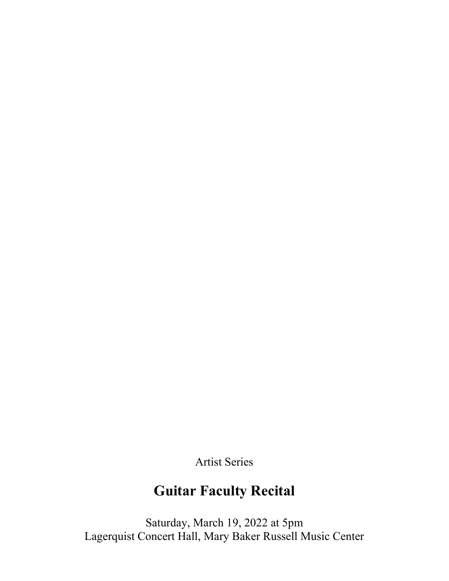Artist Series

# **Guitar Faculty Recital**

Saturday, March 19, 2022 at 5pm Lagerquist Concert Hall, Mary Baker Russell Music Center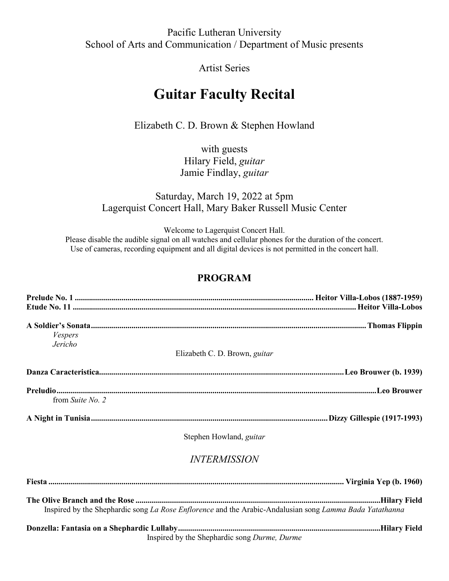### Pacific Lutheran University School of Arts and Communication / Department of Music presents

### Artist Series

## **Guitar Faculty Recital**

Elizabeth C. D. Brown & Stephen Howland

with guests Hilary Field, *guitar* Jamie Findlay, *guitar*

### Saturday, March 19, 2022 at 5pm Lagerquist Concert Hall, Mary Baker Russell Music Center

Welcome to Lagerquist Concert Hall. Please disable the audible signal on all watches and cellular phones for the duration of the concert. Use of cameras, recording equipment and all digital devices is not permitted in the concert hall.

### **PROGRAM**

| Vespers<br>Jericho | Elizabeth C. D. Brown, <i>guitar</i>                                                                    |
|--------------------|---------------------------------------------------------------------------------------------------------|
|                    |                                                                                                         |
| from Suite No. 2   |                                                                                                         |
|                    |                                                                                                         |
|                    | Stephen Howland, guitar                                                                                 |
|                    | <b>INTERMISSION</b>                                                                                     |
|                    |                                                                                                         |
|                    | Inspired by the Shephardic song La Rose Enflorence and the Arabic-Andalusian song Lamma Bada Yatathanna |
|                    | $\mathbf{u} = \mathbf{u} + \mathbf{u} = \mathbf{u} + \mathbf{u} + \mathbf{u}$                           |

**Donzella: Fantasia on a Shephardic Lullaby....................................................................................................Hilary Field** Inspired by the Shephardic song *Durme, Durme*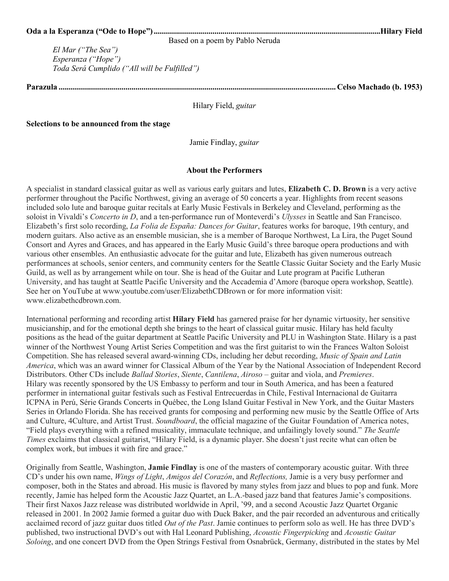| Based on a poem by Pablo Neruda |
|---------------------------------|

*El Mar ("The Sea") Esperanza ("Hope") Toda Será Cumplido ("All will be Fulfilled")*

**Parazula ......................................................................................................................................... Celso Machado (b. 1953)**

Hilary Field, *guitar*

**Selections to be announced from the stage**

Jamie Findlay, *guitar*

#### **About the Performers**

A specialist in standard classical guitar as well as various early guitars and lutes, **Elizabeth C. D. Brown** is a very active performer throughout the Pacific Northwest, giving an average of 50 concerts a year. Highlights from recent seasons included solo lute and baroque guitar recitals at Early Music Festivals in Berkeley and Cleveland, performing as the soloist in Vivaldi's *Concerto in D*, and a ten-performance run of Monteverdi's *Ulysses* in Seattle and San Francisco. Elizabeth's first solo recording, *La Folia de España: Dances for Guitar*, features works for baroque, 19th century, and modern guitars. Also active as an ensemble musician, she is a member of Baroque Northwest, La Lira, the Puget Sound Consort and Ayres and Graces, and has appeared in the Early Music Guild's three baroque opera productions and with various other ensembles. An enthusiastic advocate for the guitar and lute, Elizabeth has given numerous outreach performances at schools, senior centers, and community centers for the Seattle Classic Guitar Society and the Early Music Guild, as well as by arrangement while on tour. She is head of the Guitar and Lute program at Pacific Lutheran University, and has taught at Seattle Pacific University and the Accademia d'Amore (baroque opera workshop, Seattle). See her on YouTube at www.youtube.com/user/ElizabethCDBrown or for more information visit: www.elizabethcdbrown.com.

International performing and recording artist **Hilary Field** has garnered praise for her dynamic virtuosity, her sensitive musicianship, and for the emotional depth she brings to the heart of classical guitar music. Hilary has held faculty positions as the head of the guitar department at Seattle Pacific University and PLU in Washington State. Hilary is a past winner of the Northwest Young Artist Series Competition and was the first guitarist to win the Frances Walton Soloist Competition. She has released several award-winning CDs, including her debut recording, *Music of Spain and Latin America*, which was an award winner for Classical Album of the Year by the National Association of Independent Record Distributors. Other CDs include *Ballad Stories*, *Siente*, *Cantilena*, *Airoso* – guitar and viola, and *Premieres*. Hilary was recently sponsored by the US Embassy to perform and tour in South America, and has been a featured performer in international guitar festivals such as Festival Entrecuerdas in Chile, Festival Internacional de Guitarra ICPNA in Perú, Série Grands Concerts in Québec, the Long Island Guitar Festival in New York, and the Guitar Masters Series in Orlando Florida. She has received grants for composing and performing new music by the Seattle Office of Arts and Culture, 4Culture, and Artist Trust. *Soundboard*, the official magazine of the Guitar Foundation of America notes, "Field plays everything with a refined musicality, immaculate technique, and unfailingly lovely sound." *The Seattle Times* exclaims that classical guitarist, "Hilary Field, is a dynamic player. She doesn't just recite what can often be complex work, but imbues it with fire and grace."

Originally from Seattle, Washington, **Jamie Findlay** is one of the masters of contemporary acoustic guitar. With three CD's under his own name, *Wings of Light*, *Amigos del Corazón*, and *Reflections,* Jamie is a very busy performer and composer, both in the States and abroad. His music is flavored by many styles from jazz and blues to pop and funk. More recently, Jamie has helped form the Acoustic Jazz Quartet, an L.A.-based jazz band that features Jamie's compositions. Their first Naxos Jazz release was distributed worldwide in April, '99, and a second Acoustic Jazz Quartet Organic released in 2001. In 2002 Jamie formed a guitar duo with Duck Baker, and the pair recorded an adventurous and critically acclaimed record of jazz guitar duos titled *Out of the Past*. Jamie continues to perform solo as well. He has three DVD's published, two instructional DVD's out with Hal Leonard Publishing, *Acoustic Fingerpicking* and *Acoustic Guitar Soloing*, and one concert DVD from the Open Strings Festival from Osnabrück, Germany, distributed in the states by Mel